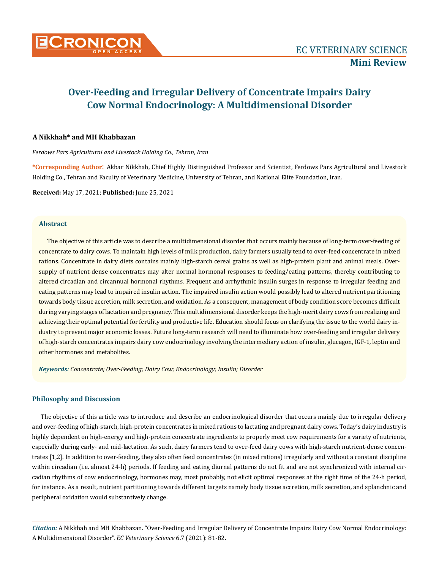

# **Over-Feeding and Irregular Delivery of Concentrate Impairs Dairy Cow Normal Endocrinology: A Multidimensional Disorder**

#### **A Nikkhah\* and MH Khabbazan**

*Ferdows Pars Agricultural and Livestock Holding Co., Tehran, Iran*

**\*Corresponding Author**: Akbar Nikkhah, Chief Highly Distinguished Professor and Scientist, Ferdows Pars Agricultural and Livestock Holding Co., Tehran and Faculty of Veterinary Medicine, University of Tehran, and National Elite Foundation, Iran.

**Received:** May 17, 2021; **Published:** June 25, 2021

#### **Abstract**

The objective of this article was to describe a multidimensional disorder that occurs mainly because of long-term over-feeding of concentrate to dairy cows. To maintain high levels of milk production, dairy farmers usually tend to over-feed concentrate in mixed rations. Concentrate in dairy diets contains mainly high-starch cereal grains as well as high-protein plant and animal meals. Oversupply of nutrient-dense concentrates may alter normal hormonal responses to feeding/eating patterns, thereby contributing to altered circadian and circannual hormonal rhythms. Frequent and arrhythmic insulin surges in response to irregular feeding and eating patterns may lead to impaired insulin action. The impaired insulin action would possibly lead to altered nutrient partitioning towards body tissue accretion, milk secretion, and oxidation. As a consequent, management of body condition score becomes difficult during varying stages of lactation and pregnancy. This multidimensional disorder keeps the high-merit dairy cows from realizing and achieving their optimal potential for fertility and productive life. Education should focus on clarifying the issue to the world dairy industry to prevent major economic losses. Future long-term research will need to illuminate how over-feeding and irregular delivery of high-starch concentrates impairs dairy cow endocrinology involving the intermediary action of insulin, glucagon, IGF-1, leptin and other hormones and metabolites.

*Keywords: Concentrate; Over-Feeding; Dairy Cow; Endocrinology; Insulin; Disorder*

### **Philosophy and Discussion**

The objective of this article was to introduce and describe an endocrinological disorder that occurs mainly due to irregular delivery and over-feeding of high-starch, high-protein concentrates in mixed rations to lactating and pregnant dairy cows. Today's dairy industry is highly dependent on high-energy and high-protein concentrate ingredients to properly meet cow requirements for a variety of nutrients, especially during early- and mid-lactation. As such, dairy farmers tend to over-feed dairy cows with high-starch nutrient-dense concentrates [1,2]. In addition to over-feeding, they also often feed concentrates (in mixed rations) irregularly and without a constant discipline within circadian (i.e. almost 24-h) periods. If feeding and eating diurnal patterns do not fit and are not synchronized with internal circadian rhythms of cow endocrinology, hormones may, most probably, not elicit optimal responses at the right time of the 24-h period, for instance. As a result, nutrient partitioning towards different targets namely body tissue accretion, milk secretion, and splanchnic and peripheral oxidation would substantively change.

*Citation:* A Nikkhah and MH Khabbazan*.* "Over-Feeding and Irregular Delivery of Concentrate Impairs Dairy Cow Normal Endocrinology: A Multidimensional Disorder". *EC Veterinary Science* 6.7 (2021): 81-82.